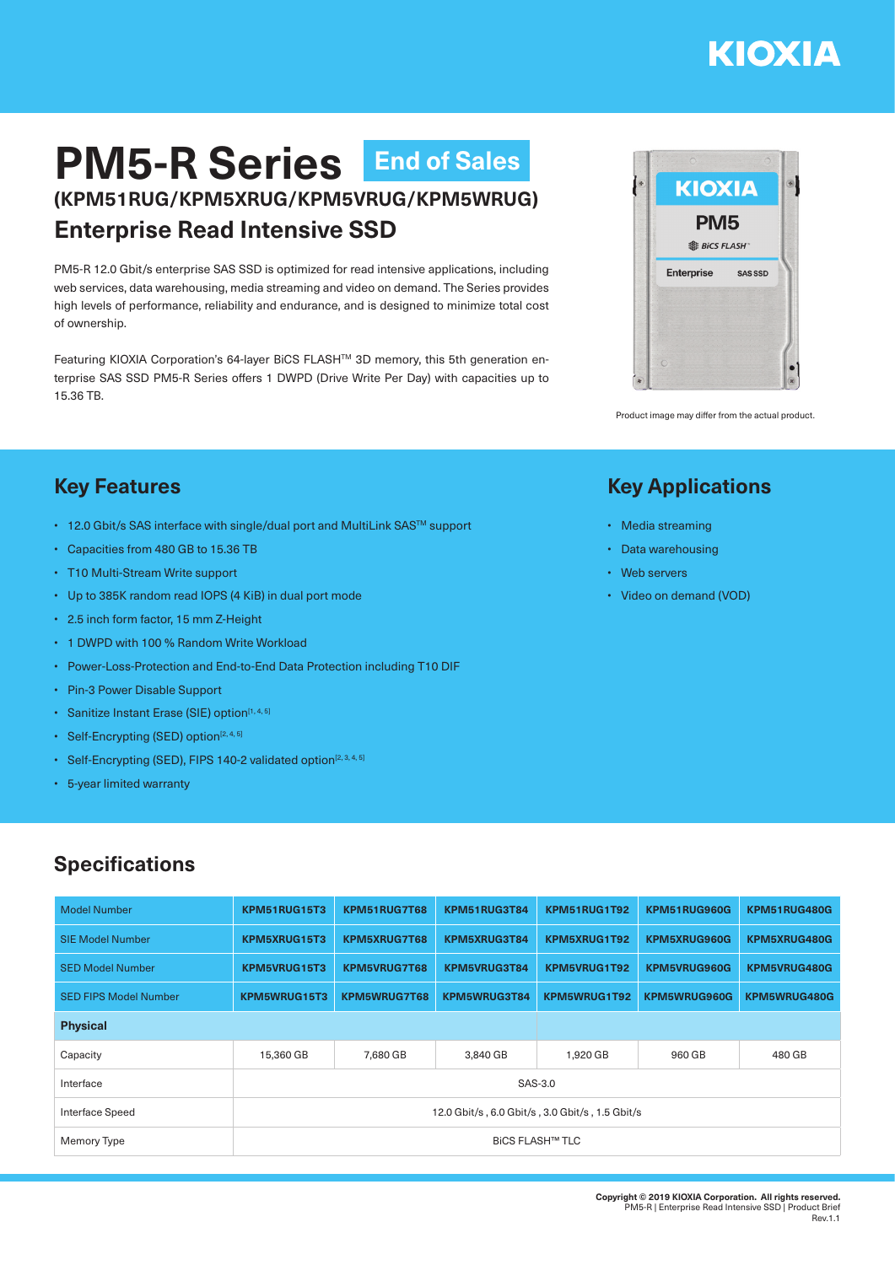# **KIOXIA**

# **PM5-R Series End of Sales(KPM51RUG/KPM5XRUG/KPM5VRUG/KPM5WRUG) Enterprise Read Intensive SSD**

PM5-R 12.0 Gbit/s enterprise SAS SSD is optimized for read intensive applications, including web services, data warehousing, media streaming and video on demand. The Series provides high levels of performance, reliability and endurance, and is designed to minimize total cost of ownership.

Featuring KIOXIA Corporation's 64-layer BiCS FLASH™ 3D memory, this 5th generation enterprise SAS SSD PM5-R Series offers 1 DWPD (Drive Write Per Day) with capacities up to 15.36 TB.



Product image may differ from the actual product.

#### **Key Features**

- 12.0 Gbit/s SAS interface with single/dual port and MultiLink SAS™ support
- Capacities from 480 GB to 15.36 TB
- T10 Multi-Stream Write support
- Up to 385K random read IOPS (4 KiB) in dual port mode
- 2.5 inch form factor, 15 mm Z-Height
- 1 DWPD with 100 % Random Write Workload
- Power-Loss-Protection and End-to-End Data Protection including T10 DIF
- Pin-3 Power Disable Support
- Sanitize Instant Erase (SIE) option<sup>[1,4,5]</sup>
- Self-Encrypting (SED) option $[2, 4, 5]$
- Self-Encrypting (SED), FIPS 140-2 validated option<sup>[2, 3, 4, 5]</sup>
- 5-year limited warranty

## **Specifications**

| <b>Model Number</b>          | KPM51RUG15T3                                    | KPM51RUG7T68 | KPM51RUG3T84 | KPM51RUG1T92 | KPM51RUG960G        | KPM51RUG480G |  |  |  |
|------------------------------|-------------------------------------------------|--------------|--------------|--------------|---------------------|--------------|--|--|--|
| <b>SIE Model Number</b>      | KPM5XRUG15T3                                    | KPM5XRUG7T68 | KPM5XRUG3T84 | KPM5XRUG1T92 | KPM5XRUG960G        | KPM5XRUG480G |  |  |  |
| <b>SED Model Number</b>      | KPM5VRUG15T3                                    | KPM5VRUG7T68 | KPM5VRUG3T84 | KPM5VRUG1T92 | <b>KPM5VRUG960G</b> | KPM5VRUG480G |  |  |  |
| <b>SED FIPS Model Number</b> | KPM5WRUG15T3                                    | KPM5WRUG7T68 | KPM5WRUG3T84 | KPM5WRUG1T92 | KPM5WRUG960G        | KPM5WRUG480G |  |  |  |
| <b>Physical</b>              |                                                 |              |              |              |                     |              |  |  |  |
| Capacity                     | 15,360 GB                                       | 7,680 GB     | 3,840 GB     | 1,920 GB     | 960 GB              | 480 GB       |  |  |  |
| Interface                    | SAS-3.0                                         |              |              |              |                     |              |  |  |  |
| Interface Speed              | 12.0 Gbit/s, 6.0 Gbit/s, 3.0 Gbit/s, 1.5 Gbit/s |              |              |              |                     |              |  |  |  |
| Memory Type                  | <b>BICS FLASH™ TLC</b>                          |              |              |              |                     |              |  |  |  |

## **Key Applications**

- Media streaming
- Data warehousing
- Web servers
- Video on demand (VOD)